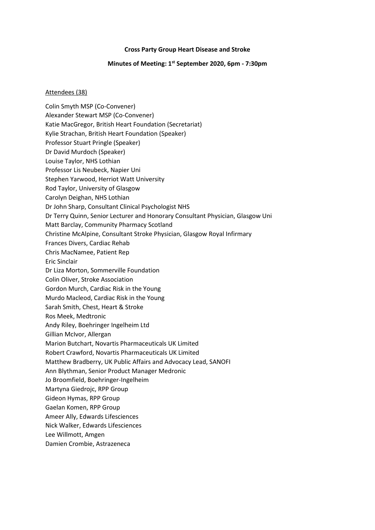### **Cross Party Group Heart Disease and Stroke**

### **Minutes of Meeting: 1st September 2020, 6pm - 7:30pm**

## Attendees (38)

Colin Smyth MSP (Co-Convener) Alexander Stewart MSP (Co-Convener) Katie MacGregor, British Heart Foundation (Secretariat) Kylie Strachan, British Heart Foundation (Speaker) Professor Stuart Pringle (Speaker) Dr David Murdoch (Speaker) Louise Taylor, NHS Lothian Professor Lis Neubeck, Napier Uni Stephen Yarwood, Herriot Watt University Rod Taylor, University of Glasgow Carolyn Deighan, NHS Lothian Dr John Sharp, Consultant Clinical Psychologist NHS Dr Terry Quinn, Senior Lecturer and Honorary Consultant Physician, Glasgow Uni Matt Barclay, Community Pharmacy Scotland Christine McAlpine, Consultant Stroke Physician, Glasgow Royal Infirmary Frances Divers, Cardiac Rehab Chris MacNamee, Patient Rep Eric Sinclair Dr Liza Morton, Sommerville Foundation Colin Oliver, Stroke Association Gordon Murch, Cardiac Risk in the Young Murdo Macleod, Cardiac Risk in the Young Sarah Smith, Chest, Heart & Stroke Ros Meek, Medtronic Andy Riley, Boehringer Ingelheim Ltd Gillian McIvor, Allergan Marion Butchart, Novartis Pharmaceuticals UK Limited Robert Crawford, Novartis Pharmaceuticals UK Limited Matthew Bradberry, UK Public Affairs and Advocacy Lead, SANOFI Ann Blythman, Senior Product Manager Medronic Jo Broomfield, Boehringer-Ingelheim Martyna Giedrojc, RPP Group Gideon Hymas, RPP Group Gaelan Komen, RPP Group Ameer Ally, Edwards Lifesciences Nick Walker, Edwards Lifesciences Lee Willmott, Amgen Damien Crombie, Astrazeneca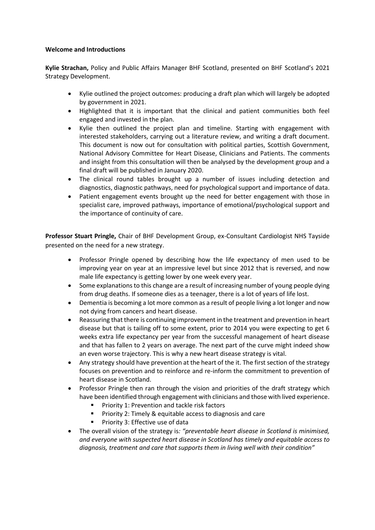# **Welcome and Introductions**

**Kylie Strachan,** Policy and Public Affairs Manager BHF Scotland, presented on BHF Scotland's 2021 Strategy Development.

- Kylie outlined the project outcomes: producing a draft plan which will largely be adopted by government in 2021.
- Highlighted that it is important that the clinical and patient communities both feel engaged and invested in the plan.
- Kylie then outlined the project plan and timeline. Starting with engagement with interested stakeholders, carrying out a literature review, and writing a draft document. This document is now out for consultation with political parties, Scottish Government, National Advisory Committee for Heart Disease, Clinicians and Patients. The comments and insight from this consultation will then be analysed by the development group and a final draft will be published in January 2020.
- The clinical round tables brought up a number of issues including detection and diagnostics, diagnostic pathways, need for psychological support and importance of data.
- Patient engagement events brought up the need for better engagement with those in specialist care, improved pathways, importance of emotional/psychological support and the importance of continuity of care.

**Professor Stuart Pringle,** Chair of BHF Development Group, ex-Consultant Cardiologist NHS Tayside presented on the need for a new strategy.

- Professor Pringle opened by describing how the life expectancy of men used to be improving year on year at an impressive level but since 2012 that is reversed, and now male life expectancy is getting lower by one week every year.
- Some explanations to this change are a result of increasing number of young people dying from drug deaths. If someone dies as a teenager, there is a lot of years of life lost.
- Dementia is becoming a lot more common as a result of people living a lot longer and now not dying from cancers and heart disease.
- Reassuring that there is continuing improvement in the treatment and prevention in heart disease but that is tailing off to some extent, prior to 2014 you were expecting to get 6 weeks extra life expectancy per year from the successful management of heart disease and that has fallen to 2 years on average. The next part of the curve might indeed show an even worse trajectory. This is why a new heart disease strategy is vital.
- Any strategy should have prevention at the heart of the it. The first section of the strategy focuses on prevention and to reinforce and re-inform the commitment to prevention of heart disease in Scotland.
- Professor Pringle then ran through the vision and priorities of the draft strategy which have been identified through engagement with clinicians and those with lived experience.
	- Priority 1: Prevention and tackle risk factors
	- Priority 2: Timely & equitable access to diagnosis and care
	- Priority 3: Effective use of data
- The overall vision of the strategy is*: "preventable heart disease in Scotland is minimised, and everyone with suspected heart disease in Scotland has timely and equitable access to diagnosis, treatment and care that supports them in living well with their condition"*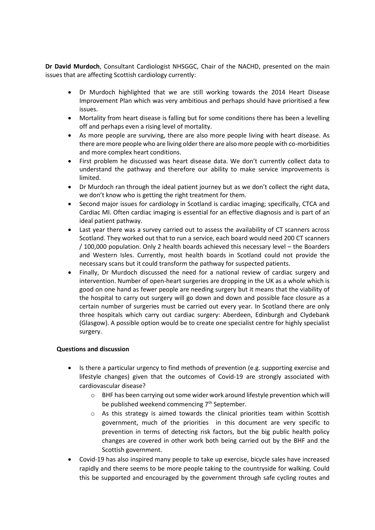**Dr David Murdoch**, Consultant Cardiologist NHSGGC, Chair of the NACHD, presented on the main issues that are affecting Scottish cardiology currently:

- Dr Murdoch highlighted that we are still working towards the 2014 Heart Disease Improvement Plan which was very ambitious and perhaps should have prioritised a few issues.
- Mortality from heart disease is falling but for some conditions there has been a levelling off and perhaps even a rising level of mortality.
- As more people are surviving, there are also more people living with heart disease. As there are more people who are living older there are also more people with co-morbidities and more complex heart conditions.
- First problem he discussed was heart disease data. We don't currently collect data to understand the pathway and therefore our ability to make service improvements is limited.
- Dr Murdoch ran through the ideal patient journey but as we don't collect the right data, we don't know who is getting the right treatment for them.
- Second major issues for cardiology in Scotland is cardiac imaging; specifically, CTCA and Cardiac MI. Often cardiac imaging is essential for an effective diagnosis and is part of an ideal patient pathway.
- Last year there was a survey carried out to assess the availability of CT scanners across Scotland. They worked out that to run a service, each board would need 200 CT scanners / 100,000 population. Only 2 health boards achieved this necessary level – the Boarders and Western Isles. Currently, most health boards in Scotland could not provide the necessary scans but it could transform the pathway for suspected patients.
- Finally, Dr Murdoch discussed the need for a national review of cardiac surgery and intervention. Number of open-heart surgeries are dropping in the UK as a whole which is good on one hand as fewer people are needing surgery but it means that the viability of the hospital to carry out surgery will go down and down and possible face closure as a certain number of surgeries must be carried out every year. In Scotland there are only three hospitals which carry out cardiac surgery: Aberdeen, Edinburgh and Clydebank (Glasgow). A possible option would be to create one specialist centre for highly specialist surgery.

# **Questions and discussion**

- Is there a particular urgency to find methods of prevention (e.g. supporting exercise and lifestyle changes) given that the outcomes of Covid-19 are strongly associated with cardiovascular disease?
	- $\circ$  BHF has been carrying out some wider work around lifestyle prevention which will be published weekend commencing 7<sup>th</sup> September.
	- $\circ$  As this strategy is aimed towards the clinical priorities team within Scottish government, much of the priorities in this document are very specific to prevention in terms of detecting risk factors, but the big public health policy changes are covered in other work both being carried out by the BHF and the Scottish government.
- Covid-19 has also inspired many people to take up exercise, bicycle sales have increased rapidly and there seems to be more people taking to the countryside for walking. Could this be supported and encouraged by the government through safe cycling routes and